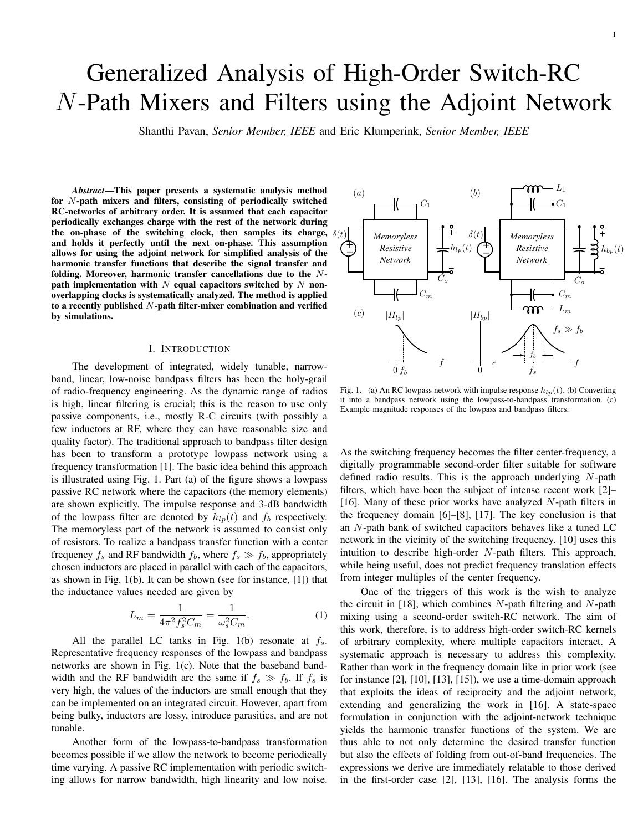# Generalized Analysis of High-Order Switch-RC *N*-Path Mixers and Filters using the Adjoint Network

Shanthi Pavan, *Senior Member, IEEE* and Eric Klumperink, *Senior Member, IEEE*

*Abstract*—This paper presents a systematic analysis method for *N*-path mixers and filters, consisting of periodically switched RC-networks of arbitrary order. It is assumed that each capacitor periodically exchanges charge with the rest of the network during the on-phase of the switching clock, then samples its charge,  $\delta(t)$ and holds it perfectly until the next on-phase. This assumption allows for using the adjoint network for simplified analysis of the harmonic transfer functions that describe the signal transfer and folding. Moreover, harmonic transfer cancellations due to the *N*path implementation with *N* equal capacitors switched by *N* nonoverlapping clocks is systematically analyzed. The method is applied to a recently published *N*-path filter-mixer combination and verified by simulations.

### I. INTRODUCTION

The development of integrated, widely tunable, narrowband, linear, low-noise bandpass filters has been the holy-grail of radio-frequency engineering. As the dynamic range of radios is high, linear filtering is crucial; this is the reason to use only passive components, i.e., mostly R-C circuits (with possibly a few inductors at RF, where they can have reasonable size and quality factor). The traditional approach to bandpass filter design has been to transform a prototype lowpass network using a frequency transformation [1]. The basic idea behind this approach is illustrated using Fig. 1. Part (a) of the figure shows a lowpass passive RC network where the capacitors (the memory elements) are shown explicitly. The impulse response and 3-dB bandwidth of the lowpass filter are denoted by  $h_{lp}(t)$  and  $f_b$  respectively. The memoryless part of the network is assumed to consist only of resistors. To realize a bandpass transfer function with a center frequency  $f_s$  and RF bandwidth  $f_b$ , where  $f_s \gg f_b$ , appropriately chosen inductors are placed in parallel with each of the capacitors, as shown in Fig. 1(b). It can be shown (see for instance, [1]) that the inductance values needed are given by

$$
L_m = \frac{1}{4\pi^2 f_s^2 C_m} = \frac{1}{\omega_s^2 C_m}.
$$
 (1)

All the parallel LC tanks in Fig. 1(b) resonate at *fs*. Representative frequency responses of the lowpass and bandpass networks are shown in Fig. 1(c). Note that the baseband bandwidth and the RF bandwidth are the same if  $f_s \gg f_b$ . If  $f_s$  is very high, the values of the inductors are small enough that they can be implemented on an integrated circuit. However, apart from being bulky, inductors are lossy, introduce parasitics, and are not tunable.

Another form of the lowpass-to-bandpass transformation becomes possible if we allow the network to become periodically time varying. A passive RC implementation with periodic switching allows for narrow bandwidth, high linearity and low noise.



1

Fig. 1. (a) An RC lowpass network with impulse response *hlp*(*t*). (b) Converting it into a bandpass network using the lowpass-to-bandpass transformation. (c) Example magnitude responses of the lowpass and bandpass filters.

As the switching frequency becomes the filter center-frequency, a digitally programmable second-order filter suitable for software defined radio results. This is the approach underlying *N*-path filters, which have been the subject of intense recent work [2]– [16]. Many of these prior works have analyzed *N*-path filters in the frequency domain [6]–[8], [17]. The key conclusion is that an *N*-path bank of switched capacitors behaves like a tuned LC network in the vicinity of the switching frequency. [10] uses this intuition to describe high-order *N*-path filters. This approach, while being useful, does not predict frequency translation effects from integer multiples of the center frequency.

One of the triggers of this work is the wish to analyze the circuit in [18], which combines *N*-path filtering and *N*-path mixing using a second-order switch-RC network. The aim of this work, therefore, is to address high-order switch-RC kernels of arbitrary complexity, where multiple capacitors interact. A systematic approach is necessary to address this complexity. Rather than work in the frequency domain like in prior work (see for instance [2], [10], [13], [15]), we use a time-domain approach that exploits the ideas of reciprocity and the adjoint network, extending and generalizing the work in [16]. A state-space formulation in conjunction with the adjoint-network technique yields the harmonic transfer functions of the system. We are thus able to not only determine the desired transfer function but also the effects of folding from out-of-band frequencies. The expressions we derive are immediately relatable to those derived in the first-order case [2], [13], [16]. The analysis forms the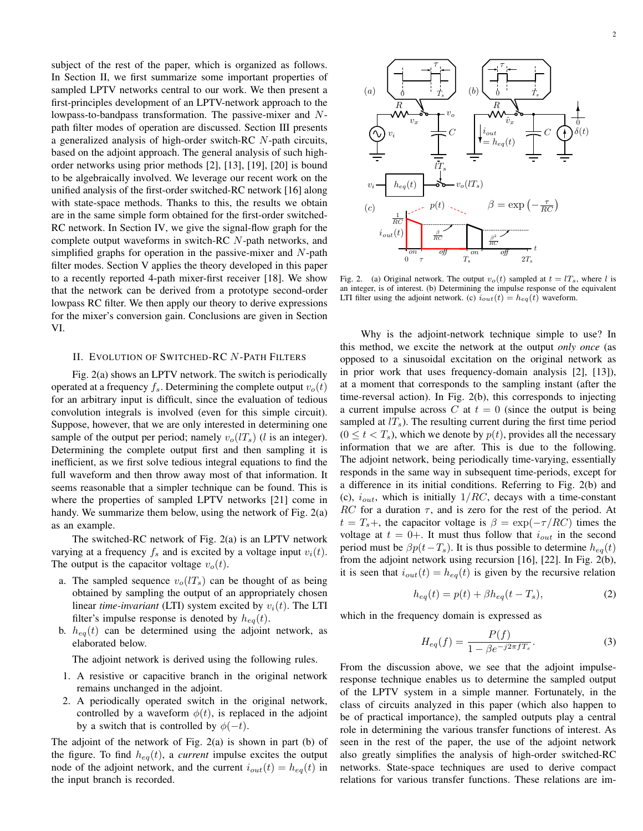subject of the rest of the paper, which is organized as follows. In Section II, we first summarize some important properties of sampled LPTV networks central to our work. We then present a first-principles development of an LPTV-network approach to the lowpass-to-bandpass transformation. The passive-mixer and *N*path filter modes of operation are discussed. Section III presents a generalized analysis of high-order switch-RC *N*-path circuits, based on the adjoint approach. The general analysis of such highorder networks using prior methods [2], [13], [19], [20] is bound to be algebraically involved. We leverage our recent work on the unified analysis of the first-order switched-RC network [16] along with state-space methods. Thanks to this, the results we obtain are in the same simple form obtained for the first-order switched-RC network. In Section IV, we give the signal-flow graph for the complete output waveforms in switch-RC *N*-path networks, and simplified graphs for operation in the passive-mixer and *N*-path filter modes. Section V applies the theory developed in this paper to a recently reported 4-path mixer-first receiver [18]. We show that the network can be derived from a prototype second-order lowpass RC filter. We then apply our theory to derive expressions for the mixer's conversion gain. Conclusions are given in Section VI.

## II. EVOLUTION OF SWITCHED-RC *N* -PATH FILTERS

Fig. 2(a) shows an LPTV network. The switch is periodically operated at a frequency  $f_s$ . Determining the complete output  $v_o(t)$ for an arbitrary input is difficult, since the evaluation of tedious convolution integrals is involved (even for this simple circuit). Suppose, however, that we are only interested in determining one sample of the output per period; namely  $v_o(lT_s)$  (*l* is an integer). Determining the complete output first and then sampling it is inefficient, as we first solve tedious integral equations to find the full waveform and then throw away most of that information. It seems reasonable that a simpler technique can be found. This is where the properties of sampled LPTV networks [21] come in handy. We summarize them below, using the network of Fig. 2(a) as an example.

The switched-RC network of Fig. 2(a) is an LPTV network varying at a frequency  $f_s$  and is excited by a voltage input  $v_i(t)$ . The output is the capacitor voltage  $v_o(t)$ .

- a. The sampled sequence  $v_o(lT_s)$  can be thought of as being obtained by sampling the output of an appropriately chosen linear *time-invariant* (LTI) system excited by  $v_i(t)$ . The LTI filter's impulse response is denoted by  $h_{eq}(t)$ .
- b.  $h_{eq}(t)$  can be determined using the adjoint network, as elaborated below.

The adjoint network is derived using the following rules.

- 1. A resistive or capacitive branch in the original network remains unchanged in the adjoint.
- 2. A periodically operated switch in the original network, controlled by a waveform  $\phi(t)$ , is replaced in the adjoint by a switch that is controlled by  $\phi(-t)$ .

The adjoint of the network of Fig. 2(a) is shown in part (b) of the figure. To find  $h_{eq}(t)$ , a *current* impulse excites the output node of the adjoint network, and the current  $i_{out}(t) = h_{eq}(t)$  in the input branch is recorded.



Fig. 2. (a) Original network. The output  $v_o(t)$  sampled at  $t = l_s$ , where *l* is an integer, is of interest. (b) Determining the impulse response of the equivalent LTI filter using the adjoint network. (c)  $i_{out}(t) = h_{eq}(t)$  waveform.

Why is the adjoint-network technique simple to use? In this method, we excite the network at the output *only once* (as opposed to a sinusoidal excitation on the original network as in prior work that uses frequency-domain analysis [2], [13]), at a moment that corresponds to the sampling instant (after the time-reversal action). In Fig. 2(b), this corresponds to injecting a current impulse across  $C$  at  $t = 0$  (since the output is being sampled at  $lT<sub>s</sub>$ ). The resulting current during the first time period  $(0 \le t \le T_s)$ , which we denote by  $p(t)$ , provides all the necessary information that we are after. This is due to the following. The adjoint network, being periodically time-varying, essentially responds in the same way in subsequent time-periods, except for a difference in its initial conditions. Referring to Fig. 2(b) and (c), *iout*, which is initially 1*/RC*, decays with a time-constant *RC* for a duration *τ*, and is zero for the rest of the period. At  $t = T_s +$ , the capacitor voltage is  $\beta = \exp(-\tau/RC)$  times the voltage at  $t = 0+$ . It must thus follow that  $i_{out}$  in the second period must be  $\beta p(t - T_s)$ . It is thus possible to determine  $h_{eq}(t)$ from the adjoint network using recursion [16], [22]. In Fig. 2(b), it is seen that  $i_{out}(t) = h_{eq}(t)$  is given by the recursive relation

$$
h_{eq}(t) = p(t) + \beta h_{eq}(t - T_s), \qquad (2)
$$

which in the frequency domain is expressed as

$$
H_{eq}(f) = \frac{P(f)}{1 - \beta e^{-j2\pi f T_s}}.
$$
 (3)

From the discussion above, we see that the adjoint impulseresponse technique enables us to determine the sampled output of the LPTV system in a simple manner. Fortunately, in the class of circuits analyzed in this paper (which also happen to be of practical importance), the sampled outputs play a central role in determining the various transfer functions of interest. As seen in the rest of the paper, the use of the adjoint network also greatly simplifies the analysis of high-order switched-RC networks. State-space techniques are used to derive compact relations for various transfer functions. These relations are im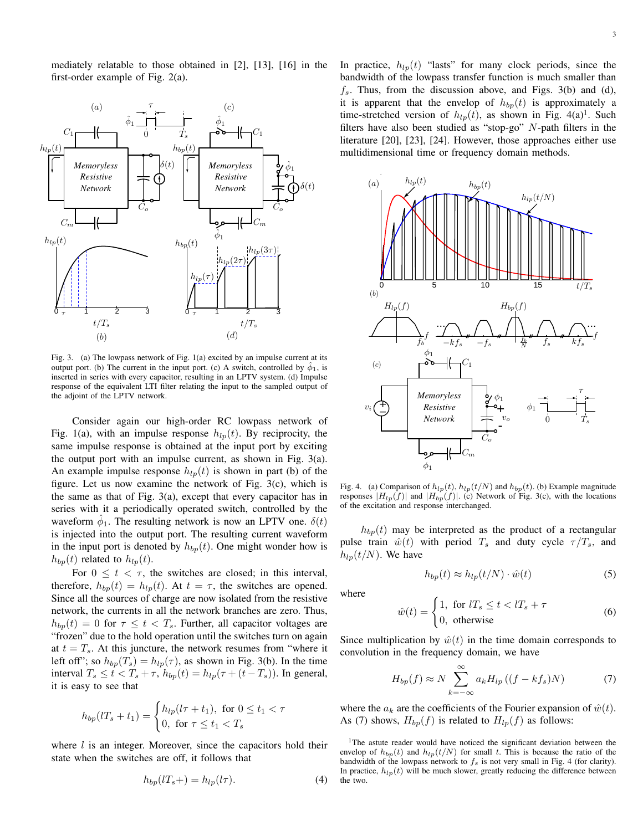mediately relatable to those obtained in [2], [13], [16] in the first-order example of Fig. 2(a).



Fig. 3. (a) The lowpass network of Fig. 1(a) excited by an impulse current at its output port. (b) The current in the input port. (c) A switch, controlled by  $\hat{\phi}_1$ , is inserted in series with every capacitor, resulting in an LPTV system. (d) Impulse response of the equivalent LTI filter relating the input to the sampled output of the adjoint of the LPTV network.

Consider again our high-order RC lowpass network of Fig. 1(a), with an impulse response  $h_{ln}(t)$ . By reciprocity, the same impulse response is obtained at the input port by exciting the output port with an impulse current, as shown in Fig. 3(a). An example impulse response  $h_{lp}(t)$  is shown in part (b) of the figure. Let us now examine the network of Fig. 3(c), which is the same as that of Fig. 3(a), except that every capacitor has in series with it a periodically operated switch, controlled by the waveform  $\hat{\phi}_1$ . The resulting network is now an LPTV one.  $\delta(t)$ is injected into the output port. The resulting current waveform in the input port is denoted by  $h_{bp}(t)$ . One might wonder how is  $h_{bp}(t)$  related to  $h_{lp}(t)$ .

For  $0 \le t < \tau$ , the switches are closed; in this interval, therefore,  $h_{bp}(t) = h_{lp}(t)$ . At  $t = \tau$ , the switches are opened. Since all the sources of charge are now isolated from the resistive network, the currents in all the network branches are zero. Thus,  $h_{bp}(t) = 0$  for  $\tau \leq t < T_s$ . Further, all capacitor voltages are "frozen" due to the hold operation until the switches turn on again at  $t = T_s$ . At this juncture, the network resumes from "where it left off"; so  $h_{bp}(T_s) = h_{lp}(\tau)$ , as shown in Fig. 3(b). In the time interval  $T_s \le t < T_s + \tau$ ,  $h_{bp}(t) = h_{lp}(\tau + (t - T_s))$ . In general, it is easy to see that

$$
h_{bp}(lT_s + t_1) = \begin{cases} h_{lp}(l\tau + t_1), \text{ for } 0 \le t_1 < \tau \\ 0, \text{ for } \tau \le t_1 < T_s \end{cases}
$$

where *l* is an integer. Moreover, since the capacitors hold their state when the switches are off, it follows that

$$
h_{bp}(lT_s+) = h_{lp}(l\tau). \tag{4}
$$

In practice,  $h_{lp}(t)$  "lasts" for many clock periods, since the bandwidth of the lowpass transfer function is much smaller than *fs*. Thus, from the discussion above, and Figs. 3(b) and (d), it is apparent that the envelop of  $h_{bp}(t)$  is approximately a time-stretched version of  $h_{lp}(t)$ , as shown in Fig. 4(a)<sup>1</sup>. Such filters have also been studied as "stop-go" *N*-path filters in the literature [20], [23], [24]. However, those approaches either use multidimensional time or frequency domain methods.



Fig. 4. (a) Comparison of  $h_{lp}(t)$ ,  $h_{lp}(t/N)$  and  $h_{bp}(t)$ . (b) Example magnitude responses  $|H_{lp}(f)|$  and  $|H_{bp}(f)|$ . (c) Network of Fig. 3(c), with the locations of the excitation and response interchanged.

 $h_{bp}(t)$  may be interpreted as the product of a rectangular pulse train  $\hat{w}(t)$  with period  $T_s$  and duty cycle  $\tau/T_s$ , and  $h_{lp}(t/N)$ . We have

$$
h_{bp}(t) \approx h_{lp}(t/N) \cdot \hat{w}(t)
$$
 (5)

where

$$
\hat{w}(t) = \begin{cases} 1, & \text{for } l \, T_s \le t < l \, T_s + \tau \\ 0, & \text{otherwise} \end{cases} \tag{6}
$$

Since multiplication by  $\hat{w}(t)$  in the time domain corresponds to convolution in the frequency domain, we have

$$
H_{bp}(f) \approx N \sum_{k=-\infty}^{\infty} a_k H_{lp} \left( (f - kf_s) N \right) \tag{7}
$$

where the  $a_k$  are the coefficients of the Fourier expansion of  $\hat{w}(t)$ . As (7) shows,  $H_{bp}(f)$  is related to  $H_{lp}(f)$  as follows:

<sup>1</sup>The astute reader would have noticed the significant deviation between the envelop of  $h_{bp}(t)$  and  $h_{lp}(t/N)$  for small *t*. This is because the ratio of the bandwidth of the lowpass network to  $f_s$  is not very small in Fig. 4 (for clarity). In practice,  $h_{lp}(t)$  will be much slower, greatly reducing the difference between the two.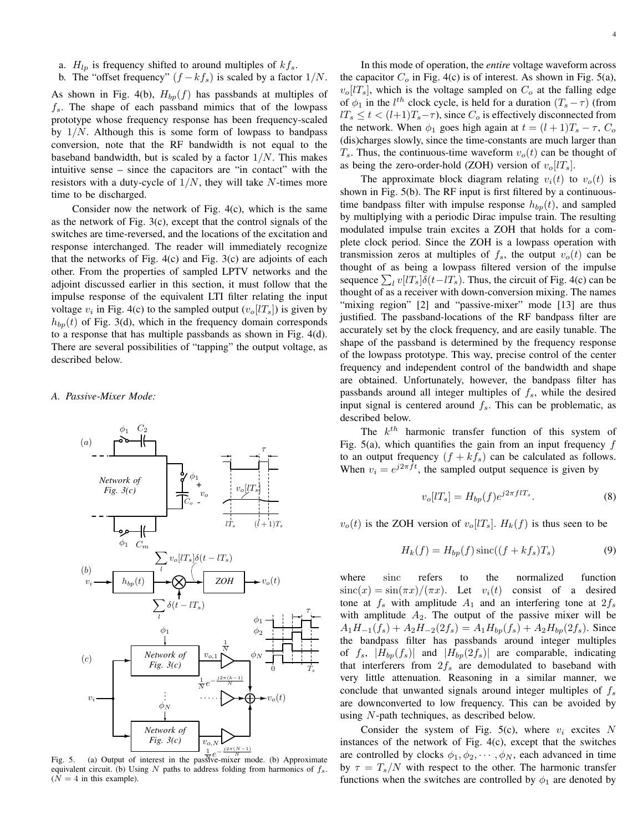- a. *Hlp* is frequency shifted to around multiples of *kfs*.
- b. The "offset frequency"  $(f kf_s)$  is scaled by a factor  $1/N$ .

As shown in Fig. 4(b),  $H_{bp}(f)$  has passbands at multiples of *fs*. The shape of each passband mimics that of the lowpass prototype whose frequency response has been frequency-scaled by 1*/N*. Although this is some form of lowpass to bandpass conversion, note that the RF bandwidth is not equal to the baseband bandwidth, but is scaled by a factor 1*/N*. This makes intuitive sense – since the capacitors are "in contact" with the resistors with a duty-cycle of 1*/N*, they will take *N*-times more time to be discharged.

Consider now the network of Fig. 4(c), which is the same as the network of Fig. 3(c), except that the control signals of the switches are time-reversed, and the locations of the excitation and response interchanged. The reader will immediately recognize that the networks of Fig.  $4(c)$  and Fig.  $3(c)$  are adjoints of each other. From the properties of sampled LPTV networks and the adjoint discussed earlier in this section, it must follow that the impulse response of the equivalent LTI filter relating the input voltage  $v_i$  in Fig. 4(c) to the sampled output  $(v_o[I_s])$  is given by  $h_{bp}(t)$  of Fig. 3(d), which in the frequency domain corresponds to a response that has multiple passbands as shown in Fig. 4(d). There are several possibilities of "tapping" the output voltage, as described below.

## *A. Passive-Mixer Mode:*



Fig. 5. (a) Output of interest in the passive-mixer mode. (b) Approximate equivalent circuit. (b) Using *N* paths to address folding from harmonics of *fs*.  $(N = 4$  in this example).

In this mode of operation, the *entire* voltage waveform across the capacitor  $C_o$  in Fig. 4(c) is of interest. As shown in Fig. 5(a),  $v<sub>o</sub>[lT<sub>s</sub>]$ , which is the voltage sampled on  $C<sub>o</sub>$  at the falling edge of  $\phi_1$  in the *l*<sup>th</sup> clock cycle, is held for a duration  $(T_s - \tau)$  (from  $lT_s \leq t < (l+1)T_s - \tau$ , since  $C_o$  is effectively disconnected from the network. When  $\phi_1$  goes high again at  $t = (l+1)T_s - \tau$ ,  $C_o$ (dis)charges slowly, since the time-constants are much larger than  $T_s$ . Thus, the continuous-time waveform  $v_o(t)$  can be thought of as being the zero-order-hold (ZOH) version of  $v<sub>o</sub>[lT<sub>s</sub>].$ 

The approximate block diagram relating  $v_i(t)$  to  $v_o(t)$  is shown in Fig. 5(b). The RF input is first filtered by a continuoustime bandpass filter with impulse response  $h_{bp}(t)$ , and sampled by multiplying with a periodic Dirac impulse train. The resulting modulated impulse train excites a ZOH that holds for a complete clock period. Since the ZOH is a lowpass operation with transmission zeros at multiples of  $f_s$ , the output  $v_o(t)$  can be thought of as being a lowpass filtered version of the impulse sequence  $\sum_l v[lT_s] \delta(t - lT_s)$ . Thus, the circuit of Fig. 4(c) can be thought of as a receiver with down-conversion mixing. The names "mixing region" [2] and "passive-mixer" mode [13] are thus justified. The passband-locations of the RF bandpass filter are accurately set by the clock frequency, and are easily tunable. The shape of the passband is determined by the frequency response of the lowpass prototype. This way, precise control of the center frequency and independent control of the bandwidth and shape are obtained. Unfortunately, however, the bandpass filter has passbands around all integer multiples of *fs*, while the desired input signal is centered around *fs*. This can be problematic, as described below.

The *k th* harmonic transfer function of this system of Fig. 5(a), which quantifies the gain from an input frequency *f* to an output frequency  $(f + kf_s)$  can be calculated as follows. When  $v_i = e^{j2\pi ft}$ , the sampled output sequence is given by

$$
v_o[lT_s] = H_{bp}(f)e^{j2\pi f lT_s}.
$$
\n(8)

 $v_o(t)$  is the ZOH version of  $v_o[IT_s]$ .  $H_k(f)$  is thus seen to be

$$
H_k(f) = H_{bp}(f)\operatorname{sinc}((f + kf_s)T_s)
$$
\n(9)

where sinc refers to the normalized function  $\sin(c(x)) = \sin(\pi x) / (\pi x)$ . Let  $v_i(t)$  consist of a desired tone at  $f_s$  with amplitude  $A_1$  and an interfering tone at  $2f_s$ with amplitude  $A_2$ . The output of the passive mixer will be  $A_1H_{-1}(f_s) + A_2H_{-2}(2f_s) = A_1H_{bp}(f_s) + A_2H_{bp}(2f_s)$ . Since the bandpass filter has passbands around integer multiples of  $f_s$ ,  $|H_{bp}(f_s)|$  and  $|H_{bp}(2f_s)|$  are comparable, indicating that interferers from  $2f_s$  are demodulated to baseband with very little attenuation. Reasoning in a similar manner, we conclude that unwanted signals around integer multiples of *f<sup>s</sup>* are downconverted to low frequency. This can be avoided by using *N*-path techniques, as described below.

Consider the system of Fig. 5(c), where  $v_i$  excites  $N$ instances of the network of Fig. 4(c), except that the switches are controlled by clocks  $\phi_1, \phi_2, \cdots, \phi_N$ , each advanced in time by  $\tau = T_s/N$  with respect to the other. The harmonic transfer functions when the switches are controlled by  $\phi_1$  are denoted by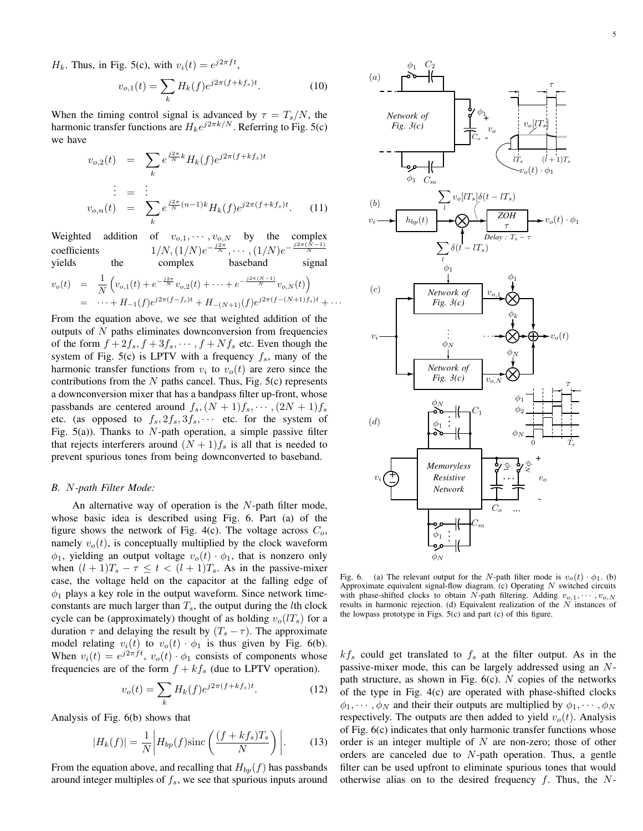*H<sub>k</sub>*. Thus, in Fig. 5(c), with  $v_i(t) = e^{j2\pi ft}$ ,

$$
v_{o,1}(t) = \sum_{k} H_k(f) e^{j2\pi (f + kf_s)t}.
$$
 (10)

When the timing control signal is advanced by  $\tau = T_s/N$ , the harmonic transfer functions are  $H_k e^{j2\pi k/N}$ . Referring to Fig. 5(c) we have

$$
v_{o,2}(t) = \sum_{k} e^{\frac{j2\pi}{N}k} H_k(f) e^{j2\pi (f + kf_s)t}
$$
  
\n
$$
\vdots = \vdots
$$
  
\n
$$
v_{o,n}(t) = \sum_{k} e^{\frac{j2\pi}{N}(n-1)k} H_k(f) e^{j2\pi (f + kf_s)t}.
$$
 (11)

Weighted addition of  $v_{o,1}, \dots, v_{o,N}$  by the complex coefficients  $1/N$ ,  $(1/N)e^{-\frac{j2\pi}{N}}$ ,  $\cdots$ ,  $(1/N)e^{-\frac{j2\pi(N-1)}{N}}$ yields the complex baseband signal  $v_o(t) = \frac{1}{N}$  $\left(v_{o,1}(t) + e^{-\frac{j2\pi}{N}}v_{o,2}(t) + \cdots + e^{-\frac{j2\pi(N-1)}{N}}v_{o,N}(t)\right)$  $= \cdots + H_{-1}(f)e^{j2\pi(f-f_s)t} + H_{-(N+1)}(f)e^{j2\pi(f-(N+1)f_s)t} + \cdots$ 

From the equation above, we see that weighted addition of the outputs of *N* paths eliminates downconversion from frequencies of the form  $f + 2f_s$ ,  $f + 3f_s$ ,  $\cdots$ ,  $f + Nf_s$  etc. Even though the system of Fig. 5(c) is LPTV with a frequency *fs*, many of the harmonic transfer functions from  $v_i$  to  $v_o(t)$  are zero since the contributions from the *N* paths cancel. Thus, Fig. 5(c) represents a downconversion mixer that has a bandpass filter up-front, whose passbands are centered around  $f_s$ ,  $(N + 1)f_s$ ,  $\cdots$ ,  $(2N + 1)f_s$ etc. (as opposed to  $f_s$ ,  $2f_s$ ,  $3f_s$ ,  $\cdots$  etc. for the system of Fig. 5(a)). Thanks to *N*-path operation, a simple passive filter that rejects interferers around  $(N + 1)f_s$  is all that is needed to prevent spurious tones from being downconverted to baseband.

#### *B. N-path Filter Mode:*

An alternative way of operation is the *N*-path filter mode, whose basic idea is described using Fig. 6. Part (a) of the figure shows the network of Fig. 4(c). The voltage across *Co*, namely  $v<sub>o</sub>(t)$ , is conceptually multiplied by the clock waveform  $\phi_1$ , yielding an output voltage  $v_o(t) \cdot \phi_1$ , that is nonzero only when  $(l + 1)T_s - \tau \leq t < (l + 1)T_s$ . As in the passive-mixer case, the voltage held on the capacitor at the falling edge of  $\phi_1$  plays a key role in the output waveform. Since network timeconstants are much larger than *Ts*, the output during the *l*th clock cycle can be (approximately) thought of as holding  $v_o(lT_s)$  for a duration  $\tau$  and delaying the result by  $(T_s - \tau)$ . The approximate model relating  $v_i(t)$  to  $v_o(t) \cdot \phi_1$  is thus given by Fig. 6(b). When  $v_i(t) = e^{j2\pi ft}$ ,  $v_o(t) \cdot \phi_1$  consists of components whose frequencies are of the form  $f + kf_s$  (due to LPTV operation).

$$
v_o(t) = \sum_k H_k(f) e^{j2\pi (f + kf_s)t}.
$$
 (12)

Analysis of Fig. 6(b) shows that

$$
|H_k(f)| = \frac{1}{N} \left| H_{bp}(f) \text{sinc}\left(\frac{(f + kf_s)T_s}{N}\right) \right|.
$$
 (13)

From the equation above, and recalling that  $H_{bp}(f)$  has passbands around integer multiples of *fs*, we see that spurious inputs around



Fig. 6. (a) The relevant output for the *N*-path filter mode is  $v_o(t) \cdot \phi_1$ . (b) Approximate equivalent signal-flow diagram. (c) Operating *N* switched circuits with phase-shifted clocks to obtain *N*-path filtering. Adding *vo,*1*, · · · , vo,N* results in harmonic rejection. (d) Equivalent realization of the *N* instances of the lowpass prototype in Figs. 5(c) and part (c) of this figure.

 $kf<sub>s</sub>$  could get translated to  $f<sub>s</sub>$  at the filter output. As in the passive-mixer mode, this can be largely addressed using an *N*path structure, as shown in Fig. 6(c). *N* copies of the networks of the type in Fig. 4(c) are operated with phase-shifted clocks  $\phi_1, \dots, \phi_N$  and their their outputs are multiplied by  $\phi_1, \dots, \phi_N$ respectively. The outputs are then added to yield  $v<sub>o</sub>(t)$ . Analysis of Fig. 6(c) indicates that only harmonic transfer functions whose order is an integer multiple of *N* are non-zero; those of other orders are canceled due to *N*-path operation. Thus, a gentle filter can be used upfront to eliminate spurious tones that would otherwise alias on to the desired frequency *f*. Thus, the *N*-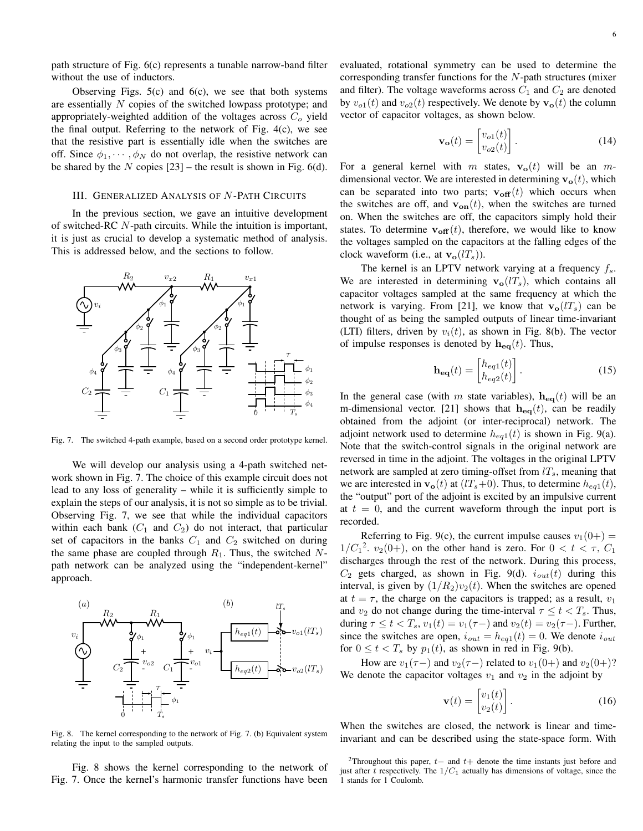path structure of Fig. 6(c) represents a tunable narrow-band filter without the use of inductors.

Observing Figs.  $5(c)$  and  $6(c)$ , we see that both systems are essentially *N* copies of the switched lowpass prototype; and appropriately-weighted addition of the voltages across *C<sup>o</sup>* yield the final output. Referring to the network of Fig. 4(c), we see that the resistive part is essentially idle when the switches are off. Since  $\phi_1, \dots, \phi_N$  do not overlap, the resistive network can be shared by the  $N$  copies  $[23]$  – the result is shown in Fig. 6(d).

## III. GENERALIZED ANALYSIS OF *N* -PATH CIRCUITS

In the previous section, we gave an intuitive development of switched-RC *N*-path circuits. While the intuition is important, it is just as crucial to develop a systematic method of analysis. This is addressed below, and the sections to follow.



Fig. 7. The switched 4-path example, based on a second order prototype kernel.

We will develop our analysis using a 4-path switched network shown in Fig. 7. The choice of this example circuit does not lead to any loss of generality – while it is sufficiently simple to explain the steps of our analysis, it is not so simple as to be trivial. Observing Fig. 7, we see that while the individual capacitors within each bank  $(C_1$  and  $C_2$ ) do not interact, that particular set of capacitors in the banks  $C_1$  and  $C_2$  switched on during the same phase are coupled through *R*1. Thus, the switched *N*path network can be analyzed using the "independent-kernel" approach.



Fig. 8. The kernel corresponding to the network of Fig. 7. (b) Equivalent system relating the input to the sampled outputs.

Fig. 8 shows the kernel corresponding to the network of Fig. 7. Once the kernel's harmonic transfer functions have been evaluated, rotational symmetry can be used to determine the corresponding transfer functions for the *N*-path structures (mixer and filter). The voltage waveforms across  $C_1$  and  $C_2$  are denoted by  $v_{o1}(t)$  and  $v_{o2}(t)$  respectively. We denote by  $\mathbf{v}_o(t)$  the column vector of capacitor voltages, as shown below.

$$
\mathbf{v_o}(t) = \begin{bmatrix} v_{o1}(t) \\ v_{o2}(t) \end{bmatrix} . \tag{14}
$$

For a general kernel with *m* states,  $\mathbf{v}_o(t)$  will be an *m*dimensional vector. We are interested in determining  $\mathbf{v}_o(t)$ , which can be separated into two parts;  $\mathbf{v}_{off}(t)$  which occurs when the switches are off, and  $\mathbf{v}_{on}(t)$ , when the switches are turned on. When the switches are off, the capacitors simply hold their states. To determine  $\mathbf{v}_{off}(t)$ , therefore, we would like to know the voltages sampled on the capacitors at the falling edges of the clock waveform (i.e., at  $\mathbf{v}_{\mathbf{o}}(lT_s)$ ).

The kernel is an LPTV network varying at a frequency *fs*. We are interested in determining  $\mathbf{v}_o(lT_s)$ , which contains all capacitor voltages sampled at the same frequency at which the network is varying. From [21], we know that  $\mathbf{v}_o(lT_s)$  can be thought of as being the sampled outputs of linear time-invariant (LTI) filters, driven by  $v_i(t)$ , as shown in Fig. 8(b). The vector of impulse responses is denoted by  $h_{eq}(t)$ . Thus,

$$
\mathbf{h}_{\mathbf{eq}}(t) = \begin{bmatrix} h_{eq1}(t) \\ h_{eq2}(t) \end{bmatrix} . \tag{15}
$$

In the general case (with *m* state variables),  $\mathbf{h}_{eq}(t)$  will be an m-dimensional vector. [21] shows that  $h_{eq}(t)$ , can be readily obtained from the adjoint (or inter-reciprocal) network. The adjoint network used to determine  $h_{eq1}(t)$  is shown in Fig. 9(a). Note that the switch-control signals in the original network are reversed in time in the adjoint. The voltages in the original LPTV network are sampled at zero timing-offset from *lTs*, meaning that we are interested in  $\mathbf{v}_o(t)$  at  $(1/\tau_s+0)$ . Thus, to determine  $h_{eq}(t)$ , the "output" port of the adjoint is excited by an impulsive current at  $t = 0$ , and the current waveform through the input port is recorded.

Referring to Fig. 9(c), the current impulse causes  $v_1(0+)$  =  $1/C_1^2$ ,  $v_2(0+)$ , on the other hand is zero. For  $0 < t < \tau$ ,  $C_1$ discharges through the rest of the network. During this process,  $C_2$  gets charged, as shown in Fig. 9(d).  $i_{out}(t)$  during this interval, is given by  $(1/R_2)v_2(t)$ . When the switches are opened at  $t = \tau$ , the charge on the capacitors is trapped; as a result,  $v_1$ and  $v_2$  do not change during the time-interval  $\tau \leq t < T_s$ . Thus, during  $\tau \le t < T_s$ ,  $v_1(t) = v_1(\tau -)$  and  $v_2(t) = v_2(\tau -)$ . Further, since the switches are open,  $i_{out} = h_{eq1}(t) = 0$ . We denote  $i_{out}$ for  $0 \le t < T_s$  by  $p_1(t)$ , as shown in red in Fig. 9(b).

How are  $v_1(\tau-)$  and  $v_2(\tau-)$  related to  $v_1(0+)$  and  $v_2(0+)$ ? We denote the capacitor voltages  $v_1$  and  $v_2$  in the adjoint by

$$
\mathbf{v}(t) = \begin{bmatrix} v_1(t) \\ v_2(t) \end{bmatrix} . \tag{16}
$$

When the switches are closed, the network is linear and timeinvariant and can be described using the state-space form. With

<sup>2</sup>Throughout this paper, *<sup>t</sup><sup>−</sup>* and *<sup>t</sup>*<sup>+</sup> denote the time instants just before and just after *t* respectively. The 1*/C*<sup>1</sup> actually has dimensions of voltage, since the 1 stands for 1 Coulomb.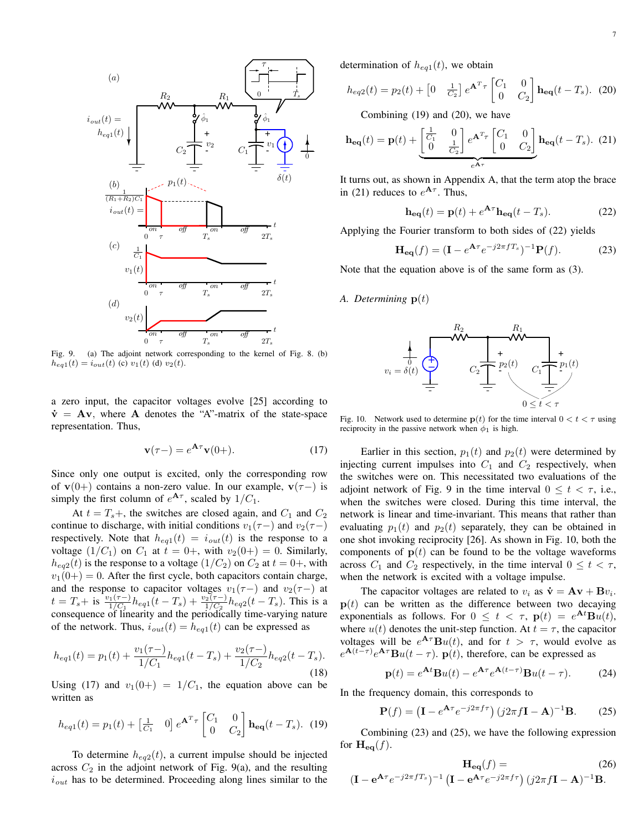

Fig. 9. (a) The adjoint network corresponding to the kernel of Fig. 8. (b)  $h_{eq1}(t) = i_{out}(t)$  (c)  $v_1(t)$  (d)  $v_2(t)$ .

a zero input, the capacitor voltages evolve [25] according to  $\dot{v}$  =  $Av$ , where **A** denotes the "A"-matrix of the state-space representation. Thus,

$$
\mathbf{v}(\tau-) = e^{\mathbf{A}\tau}\mathbf{v}(0+). \tag{17}
$$

Since only one output is excited, only the corresponding row of **v**(0+) contains a non-zero value. In our example, **v**( $\tau$ *-*) is simply the first column of  $e^{A\tau}$ , scaled by  $1/C_1$ .

At  $t = T_s +$ , the switches are closed again, and  $C_1$  and  $C_2$ continue to discharge, with initial conditions  $v_1(\tau-)$  and  $v_2(\tau-)$ respectively. Note that  $h_{eq1}(t) = i_{out}(t)$  is the response to a voltage  $(1/C_1)$  on  $C_1$  at  $t = 0$ +, with  $v_2(0+) = 0$ . Similarly,  $h_{eq2}(t)$  is the response to a voltage  $(1/C_2)$  on  $C_2$  at  $t = 0+$ , with  $v_1(0+) = 0$ . After the first cycle, both capacitors contain charge, and the response to capacitor voltages  $v_1(\tau)$  and  $v_2(\tau)$  at  $t = T_s +$  is  $\frac{v_1(\tau-)}{1/C_1}h_{eq1}(t-T_s) + \frac{v_2(\tau-)}{1/C_2}h_{eq2}(t-T_s)$ . This is a consequence of linearity and the periodically time-varying nature of the network. Thus,  $i_{out}(t) = h_{eq}(t)$  can be expressed as

$$
h_{eq1}(t) = p_1(t) + \frac{v_1(\tau -)}{1/C_1} h_{eq1}(t - T_s) + \frac{v_2(\tau -)}{1/C_2} h_{eq2}(t - T_s).
$$
\n(18)

Using (17) and  $v_1(0+) = 1/C_1$ , the equation above can be written as

$$
h_{eq1}(t) = p_1(t) + \begin{bmatrix} \frac{1}{C_1} & 0 \end{bmatrix} e^{\mathbf{A}^T \tau} \begin{bmatrix} C_1 & 0 \\ 0 & C_2 \end{bmatrix} \mathbf{h}_{eq}(t - T_s). \tag{19}
$$

To determine  $h_{eq2}(t)$ , a current impulse should be injected across  $C_2$  in the adjoint network of Fig. 9(a), and the resulting  $i_{out}$  has to be determined. Proceeding along lines similar to the determination of  $h_{eq1}(t)$ , we obtain

$$
h_{eq2}(t) = p_2(t) + \begin{bmatrix} 0 & \frac{1}{C_2} \end{bmatrix} e^{\mathbf{A}^T \tau} \begin{bmatrix} C_1 & 0 \\ 0 & C_2 \end{bmatrix} \mathbf{h}_{eq}(t - T_s). \tag{20}
$$

Combining (19) and (20), we have

$$
\mathbf{h}_{\mathbf{eq}}(t) = \mathbf{p}(t) + \underbrace{\begin{bmatrix} \frac{1}{C_1} & 0\\ 0 & \frac{1}{C_2} \end{bmatrix} e^{\mathbf{A}^T \tau} \begin{bmatrix} C_1 & 0\\ 0 & C_2 \end{bmatrix}}_{e^{\mathbf{A} \tau}} \mathbf{h}_{\mathbf{eq}}(t - T_s). (21)
$$

It turns out, as shown in Appendix A, that the term atop the brace in (21) reduces to  $e^{A\tau}$ . Thus,

$$
\mathbf{h}_{\mathbf{eq}}(t) = \mathbf{p}(t) + e^{\mathbf{A}\tau} \mathbf{h}_{\mathbf{eq}}(t - T_s).
$$
 (22)

Applying the Fourier transform to both sides of (22) yields

$$
\mathbf{H}_{\mathbf{eq}}(f) = (\mathbf{I} - e^{\mathbf{A}\tau}e^{-j2\pi fT_s})^{-1}\mathbf{P}(f). \tag{23}
$$

Note that the equation above is of the same form as (3).

# *A. Determining* **p**(*t*)



Fig. 10. Network used to determine  $p(t)$  for the time interval  $0 < t < \tau$  using reciprocity in the passive network when  $\phi_1$  is high.

Earlier in this section,  $p_1(t)$  and  $p_2(t)$  were determined by injecting current impulses into  $C_1$  and  $C_2$  respectively, when the switches were on. This necessitated two evaluations of the adjoint network of Fig. 9 in the time interval  $0 \le t < \tau$ , i.e., when the switches were closed. During this time interval, the network is linear and time-invariant. This means that rather than evaluating  $p_1(t)$  and  $p_2(t)$  separately, they can be obtained in one shot invoking reciprocity [26]. As shown in Fig. 10, both the components of  $p(t)$  can be found to be the voltage waveforms across  $C_1$  and  $C_2$  respectively, in the time interval  $0 \le t < \tau$ , when the network is excited with a voltage impulse.

The capacitor voltages are related to  $v_i$  as  $\dot{\mathbf{v}} = \mathbf{A}\mathbf{v} + \mathbf{B}v_i$ .  $p(t)$  can be written as the difference between two decaying exponentials as follows. For  $0 \le t < \tau$ ,  $\mathbf{p}(t) = e^{\mathbf{A}t} \mathbf{B} u(t)$ , where  $u(t)$  denotes the unit-step function. At  $t = \tau$ , the capacitor voltages will be  $e^{A\tau}Bu(t)$ , and for  $t > \tau$ , would evolve as  $e^{\mathbf{A}(t-\tau)}e^{\mathbf{A}\tau}\mathbf{B}u(t-\tau)$ .  $\mathbf{p}(t)$ , therefore, can be expressed as

$$
\mathbf{p}(t) = e^{\mathbf{A}t} \mathbf{B} u(t) - e^{\mathbf{A}\tau} e^{\mathbf{A}(t-\tau)} \mathbf{B} u(t-\tau).
$$
 (24)

In the frequency domain, this corresponds to

$$
\mathbf{P}(f) = \left(\mathbf{I} - e^{\mathbf{A}\tau}e^{-j2\pi f\tau}\right)(j2\pi f\mathbf{I} - \mathbf{A})^{-1}\mathbf{B}.
$$
 (25)

Combining (23) and (25), we have the following expression for  $\mathbf{H}_{\mathbf{eq}}(f)$ .

$$
\mathbf{H}_{\mathbf{eq}}(f) = \text{(26)}
$$
\n
$$
(\mathbf{I} - \mathbf{e}^{\mathbf{A}\tau}e^{-j2\pi fT_s})^{-1} (\mathbf{I} - \mathbf{e}^{\mathbf{A}\tau}e^{-j2\pi f\tau}) (j2\pi f\mathbf{I} - \mathbf{A})^{-1}\mathbf{B}.
$$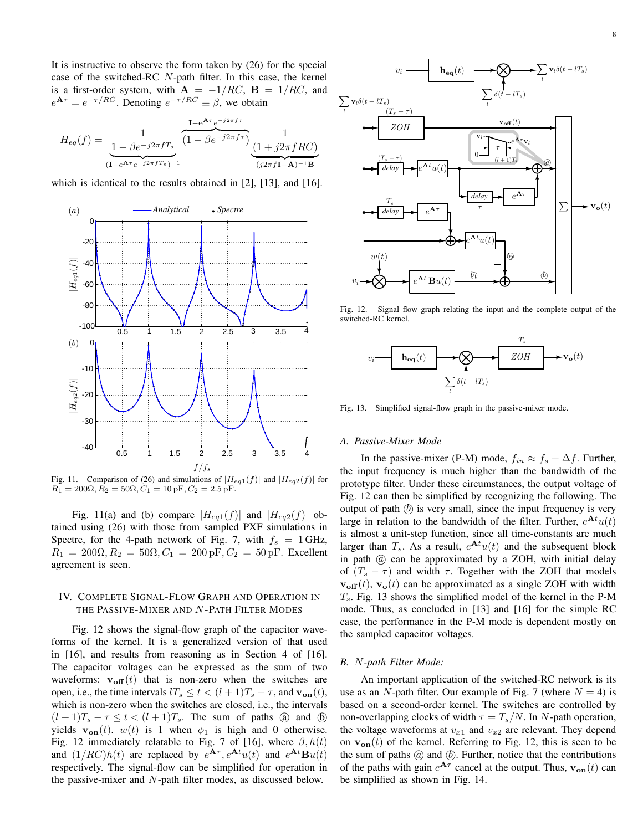It is instructive to observe the form taken by (26) for the special case of the switched-RC *N*-path filter. In this case, the kernel is a first-order system, with  $\mathbf{A} = -1/RC$ ,  $\mathbf{B} = 1/RC$ , and  $e^{A\tau} = e^{-\tau/RC}$ . Denoting  $e^{-\tau/RC} \equiv \beta$ , we obtain

$$
H_{eq}(f) = \frac{1}{\frac{1 - \beta e^{-j2\pi f T_s}}{(1 - e^{A\tau}e^{-j2\pi f T_s})^{-1}}} \frac{1 - e^{A\tau}e^{-j2\pi f \tau}}{(1 - e^{A\tau}e^{-j2\pi f T_s})^{-1}} \frac{1}{\frac{1 + j2\pi f RC}{(j2\pi f I - A)^{-1}B}}
$$

which is identical to the results obtained in [2], [13], and [16].



Fig. 11. Comparison of (26) and simulations of  $|H_{eq1}(f)|$  and  $|H_{eq2}(f)|$  for  $R_1 = 200\Omega, R_2 = 50\Omega, C_1 = 10 \text{ pF}, C_2 = 2.5 \text{ pF}.$ 

Fig. 11(a) and (b) compare  $|H_{eq1}(f)|$  and  $|H_{eq2}(f)|$  obtained using (26) with those from sampled PXF simulations in Spectre, for the 4-path network of Fig. 7, with  $f_s = 1$  GHz,  $R_1 = 200\Omega, R_2 = 50\Omega, C_1 = 200 \text{ pF}, C_2 = 50 \text{ pF}.$  Excellent agreement is seen.

# IV. COMPLETE SIGNAL-FLOW GRAPH AND OPERATION IN THE PASSIVE-MIXER AND *N* -PATH FILTER MODES

Fig. 12 shows the signal-flow graph of the capacitor waveforms of the kernel. It is a generalized version of that used in [16], and results from reasoning as in Section 4 of [16]. The capacitor voltages can be expressed as the sum of two waveforms:  $\mathbf{v}_{off}(t)$  that is non-zero when the switches are open, i.e., the time intervals  $lT_s \le t < (l+1)T_s - \tau$ , and  $\mathbf{v}_{on}(t)$ , which is non-zero when the switches are closed, i.e., the intervals  $(l+1)T_s - \tau \leq t < (l+1)T_s$ . The sum of paths  $\omega$  and  $\omega$ yields  $\mathbf{v}_{on}(t)$ .  $w(t)$  is 1 when  $\phi_1$  is high and 0 otherwise. Fig. 12 immediately relatable to Fig. 7 of [16], where *β, h*(*t*) and  $(1/RC)h(t)$  are replaced by  $e^{At}$ <sup>*r*</sup>,  $e^{At}$ *u*(*t*) and  $e^{At}$ **B***u*(*t*) respectively. The signal-flow can be simplified for operation in the passive-mixer and *N*-path filter modes, as discussed below.



Fig. 12. Signal flow graph relating the input and the complete output of the switched-RC kernel.



Fig. 13. Simplified signal-flow graph in the passive-mixer mode.

#### *A. Passive-Mixer Mode*

In the passive-mixer (P-M) mode,  $f_{in} \approx f_s + \Delta f$ . Further, the input frequency is much higher than the bandwidth of the prototype filter. Under these circumstances, the output voltage of Fig. 12 can then be simplified by recognizing the following. The output of path  $(\delta)$  is very small, since the input frequency is very large in relation to the bandwidth of the filter. Further,  $e^{At}u(t)$ is almost a unit-step function, since all time-constants are much larger than  $T_s$ . As a result,  $e^{\mathbf{A}t}u(t)$  and the subsequent block in path  $@$  can be approximated by a ZOH, with initial delay of  $(T_s - \tau)$  and width  $\tau$ . Together with the ZOH that models  $\mathbf{v}_{\text{off}}(t)$ ,  $\mathbf{v}_{\text{o}}(t)$  can be approximated as a single ZOH with width *Ts*. Fig. 13 shows the simplified model of the kernel in the P-M mode. Thus, as concluded in [13] and [16] for the simple RC case, the performance in the P-M mode is dependent mostly on the sampled capacitor voltages.

## *B. N-path Filter Mode:*

An important application of the switched-RC network is its use as an *N*-path filter. Our example of Fig. 7 (where  $N = 4$ ) is based on a second-order kernel. The switches are controlled by non-overlapping clocks of width  $\tau = T_s/N$ . In *N*-path operation, the voltage waveforms at  $v_{x1}$  and  $v_{x2}$  are relevant. They depend on  $\mathbf{v}_{on}(t)$  of the kernel. Referring to Fig. 12, this is seen to be the sum of paths  $@$  and  $@$ . Further, notice that the contributions of the paths with gain  $e^{A\tau}$  cancel at the output. Thus,  $\mathbf{v}_{on}(t)$  can be simplified as shown in Fig. 14.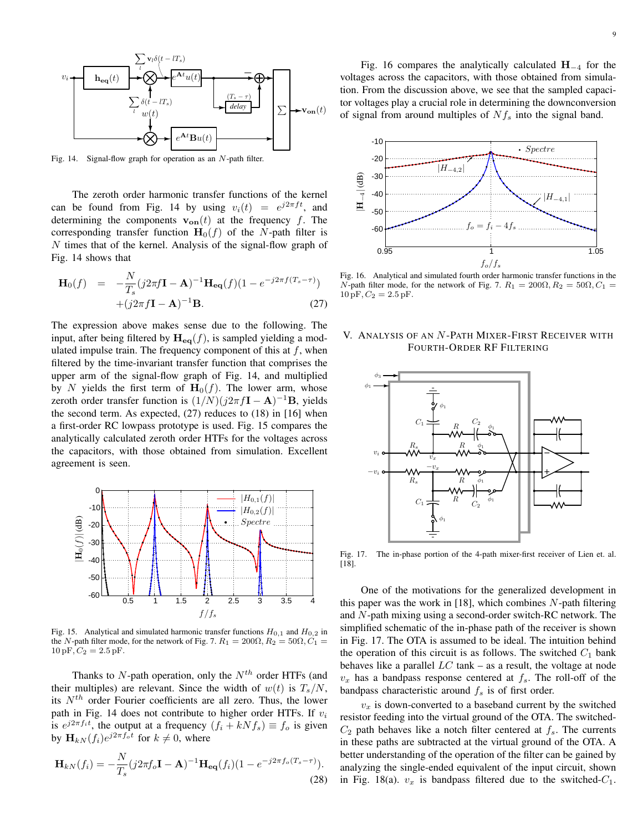

Fig. 14. Signal-flow graph for operation as an *N*-path filter.

The zeroth order harmonic transfer functions of the kernel can be found from Fig. 14 by using  $v_i(t) = e^{j2\pi ft}$ , and determining the components  $\mathbf{v}_{on}(t)$  at the frequency *f*. The corresponding transfer function  $\mathbf{H}_0(f)$  of the *N*-path filter is *N* times that of the kernel. Analysis of the signal-flow graph of Fig. 14 shows that

$$
\mathbf{H}_0(f) = -\frac{N}{T_s}(j2\pi f \mathbf{I} - \mathbf{A})^{-1} \mathbf{H}_{\mathbf{eq}}(f)(1 - e^{-j2\pi f(T_s - \tau)}) + (j2\pi f \mathbf{I} - \mathbf{A})^{-1} \mathbf{B}.
$$
 (27)

The expression above makes sense due to the following. The input, after being filtered by  $H_{eq}(f)$ , is sampled yielding a modulated impulse train. The frequency component of this at *f*, when filtered by the time-invariant transfer function that comprises the upper arm of the signal-flow graph of Fig. 14, and multiplied by *N* yields the first term of  $\mathbf{H}_0(f)$ . The lower arm, whose zeroth order transfer function is  $(1/N)(j2\pi f\mathbf{I} - \mathbf{A})^{-1}\mathbf{B}$ , yields the second term. As expected, (27) reduces to (18) in [16] when a first-order RC lowpass prototype is used. Fig. 15 compares the analytically calculated zeroth order HTFs for the voltages across the capacitors, with those obtained from simulation. Excellent agreement is seen.



Fig. 15. Analytical and simulated harmonic transfer functions *H*0*,*<sup>1</sup> and *H*0*,*<sup>2</sup> in the *N*-path filter mode, for the network of Fig. 7.  $R_1 = 200\Omega$ ,  $R_2 = 50\Omega$ ,  $C_1 =$  $10 pF, C_2 = 2.5 pF.$ 

Thanks to *N*-path operation, only the *Nth* order HTFs (and their multiples) are relevant. Since the width of  $w(t)$  is  $T_s/N$ , its *Nth* order Fourier coefficients are all zero. Thus, the lower path in Fig. 14 does not contribute to higher order HTFs. If *v<sup>i</sup>* is  $e^{j2\pi f_i t}$ , the output at a frequency  $(f_i + kNf_s) \equiv f_o$  is given by  $\mathbf{H}_{kN}(f_i)e^{j2\pi f_o t}$  for  $k \neq 0$ , where

$$
\mathbf{H}_{kN}(f_i) = -\frac{N}{T_s} (j2\pi f_o \mathbf{I} - \mathbf{A})^{-1} \mathbf{H}_{\mathbf{eq}}(f_i) (1 - e^{-j2\pi f_o (T_s - \tau)}).
$$
\n(28)

Fig. 16 compares the analytically calculated **H***−*<sup>4</sup> for the voltages across the capacitors, with those obtained from simulation. From the discussion above, we see that the sampled capacitor voltages play a crucial role in determining the downconversion of signal from around multiples of *Nf<sup>s</sup>* into the signal band.



Fig. 16. Analytical and simulated fourth order harmonic transfer functions in the *N*-path filter mode, for the network of Fig. 7.  $R_1 = 200\Omega$ ,  $R_2 = 50\Omega$ ,  $C_1 =$  $10 pF, C_2 = 2.5 pF.$ 

# V. ANALYSIS OF AN *N* -PATH MIXER-FIRST RECEIVER WITH FOURTH-ORDER RF FILTERING



Fig. 17. The in-phase portion of the 4-path mixer-first receiver of Lien et. al. [18].

One of the motivations for the generalized development in this paper was the work in [18], which combines *N*-path filtering and *N*-path mixing using a second-order switch-RC network. The simplified schematic of the in-phase path of the receiver is shown in Fig. 17. The OTA is assumed to be ideal. The intuition behind the operation of this circuit is as follows. The switched  $C_1$  bank behaves like a parallel *LC* tank – as a result, the voltage at node  $v_x$  has a bandpass response centered at  $f_s$ . The roll-off of the bandpass characteristic around *f<sup>s</sup>* is of first order.

 $v_x$  is down-converted to a baseband current by the switched resistor feeding into the virtual ground of the OTA. The switched- $C_2$  path behaves like a notch filter centered at  $f_s$ . The currents in these paths are subtracted at the virtual ground of the OTA. A better understanding of the operation of the filter can be gained by analyzing the single-ended equivalent of the input circuit, shown in Fig. 18(a).  $v_x$  is bandpass filtered due to the switched- $C_1$ .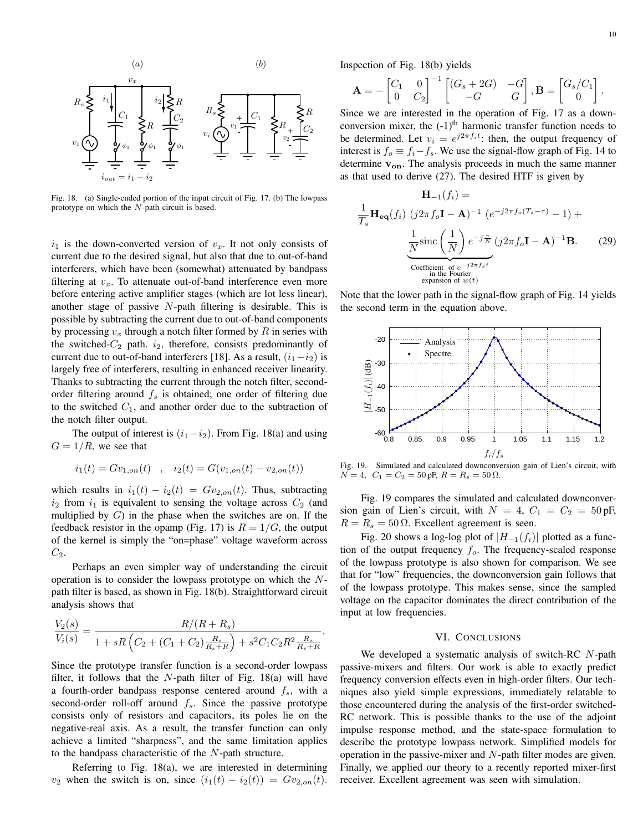

Fig. 18. (a) Single-ended portion of the input circuit of Fig. 17. (b) The lowpass prototype on which the *N*-path circuit is based.

 $i_1$  is the down-converted version of  $v_x$ . It not only consists of current due to the desired signal, but also that due to out-of-band interferers, which have been (somewhat) attenuated by bandpass filtering at  $v_x$ . To attenuate out-of-band interference even more before entering active amplifier stages (which are lot less linear), another stage of passive *N*-path filtering is desirable. This is possible by subtracting the current due to out-of-band components by processing *v<sup>x</sup>* through a notch filter formed by *R* in series with the switched- $C_2$  path.  $i_2$ , therefore, consists predominantly of current due to out-of-band interferers [18]. As a result,  $(i_1 - i_2)$  is largely free of interferers, resulting in enhanced receiver linearity. Thanks to subtracting the current through the notch filter, secondorder filtering around *f<sup>s</sup>* is obtained; one order of filtering due to the switched  $C_1$ , and another order due to the subtraction of the notch filter output.

The output of interest is  $(i_1 - i_2)$ . From Fig. 18(a) and using  $G = 1/R$ , we see that

$$
i_1(t) = Gv_{1,on}(t) \quad , \quad i_2(t) = G(v_{1,on}(t) - v_{2,on}(t))
$$

which results in  $i_1(t) - i_2(t) = Gv_{2,on}(t)$ . Thus, subtracting  $i_2$  from  $i_1$  is equivalent to sensing the voltage across  $C_2$  (and multiplied by  $G$ ) in the phase when the switches are on. If the feedback resistor in the opamp (Fig. 17) is  $R = 1/G$ , the output of the kernel is simply the "on=phase" voltage waveform across *C*2.

Perhaps an even simpler way of understanding the circuit operation is to consider the lowpass prototype on which the *N*path filter is based, as shown in Fig. 18(b). Straightforward circuit analysis shows that

$$
\frac{V_2(s)}{V_i(s)} = \frac{R/(R+R_s)}{1+sR\left(C_2+(C_1+C_2)\frac{R_s}{R_s+R}\right)+s^2C_1C_2R^2\frac{R_s}{R_s+R}}.
$$

Since the prototype transfer function is a second-order lowpass filter, it follows that the *N*-path filter of Fig. 18(a) will have a fourth-order bandpass response centered around *fs*, with a second-order roll-off around *fs*. Since the passive prototype consists only of resistors and capacitors, its poles lie on the negative-real axis. As a result, the transfer function can only achieve a limited "sharpness", and the same limitation applies to the bandpass characteristic of the *N*-path structure.

Referring to Fig. 18(a), we are interested in determining *v*<sub>2</sub> when the switch is on, since  $(i_1(t) - i_2(t)) = Gv_{2,on}(t)$ . Inspection of Fig. 18(b) yields

$$
\mathbf{A} = -\begin{bmatrix} C_1 & 0 \\ 0 & C_2 \end{bmatrix}^{-1} \begin{bmatrix} (G_s + 2G) & -G \\ -G & G \end{bmatrix}, \mathbf{B} = \begin{bmatrix} G_s/C_1 \\ 0 \end{bmatrix}.
$$

Since we are interested in the operation of Fig. 17 as a downconversion mixer, the  $(-1)^{th}$  harmonic transfer function needs to be determined. Let  $v_i = e^{j2\pi f_i t}$ : then, the output frequency of interest is  $f_0 \equiv f_i - f_s$ . We use the signal-flow graph of Fig. 14 to determine **von**. The analysis proceeds in much the same manner as that used to derive (27). The desired HTF is given by

$$
\mathbf{H}_{-1}(f_i) =
$$
\n
$$
\frac{1}{T_s} \mathbf{H}_{eq}(f_i) \ (j2\pi f_o \mathbf{I} - \mathbf{A})^{-1} \ (e^{-j2\pi f_o (T_s - \tau)} - 1) +
$$
\n
$$
\underbrace{\frac{1}{N} \operatorname{sinc} \left(\frac{1}{N}\right) e^{-j\frac{\pi}{N}} \ (j2\pi f_o \mathbf{I} - \mathbf{A})^{-1} \mathbf{B}}_{\text{Coefficient of } e^{-j2\pi f_s t}}.
$$
\n(29)

Note that the lower path in the signal-flow graph of Fig. 14 yields the second term in the equation above.



Fig. 19. Simulated and calculated downconversion gain of Lien's circuit, with  $N = 4$ ,  $C_1 = C_2 = 50 \,\text{pF}$ ,  $R = R_s = 50 \,\Omega$ .

Fig. 19 compares the simulated and calculated downconversion gain of Lien's circuit, with  $N = 4$ ,  $C_1 = C_2 = 50$  pF,  $R = R_s = 50 \Omega$ . Excellent agreement is seen.

Fig. 20 shows a log-log plot of  $|H_{-1}(f_i)|$  plotted as a function of the output frequency *fo*. The frequency-scaled response of the lowpass prototype is also shown for comparison. We see that for "low" frequencies, the downconversion gain follows that of the lowpass prototype. This makes sense, since the sampled voltage on the capacitor dominates the direct contribution of the input at low frequencies.

# VI. CONCLUSIONS

We developed a systematic analysis of switch-RC *N*-path passive-mixers and filters. Our work is able to exactly predict frequency conversion effects even in high-order filters. Our techniques also yield simple expressions, immediately relatable to those encountered during the analysis of the first-order switched-RC network. This is possible thanks to the use of the adjoint impulse response method, and the state-space formulation to describe the prototype lowpass network. Simplified models for operation in the passive-mixer and *N*-path filter modes are given. Finally, we applied our theory to a recently reported mixer-first receiver. Excellent agreement was seen with simulation.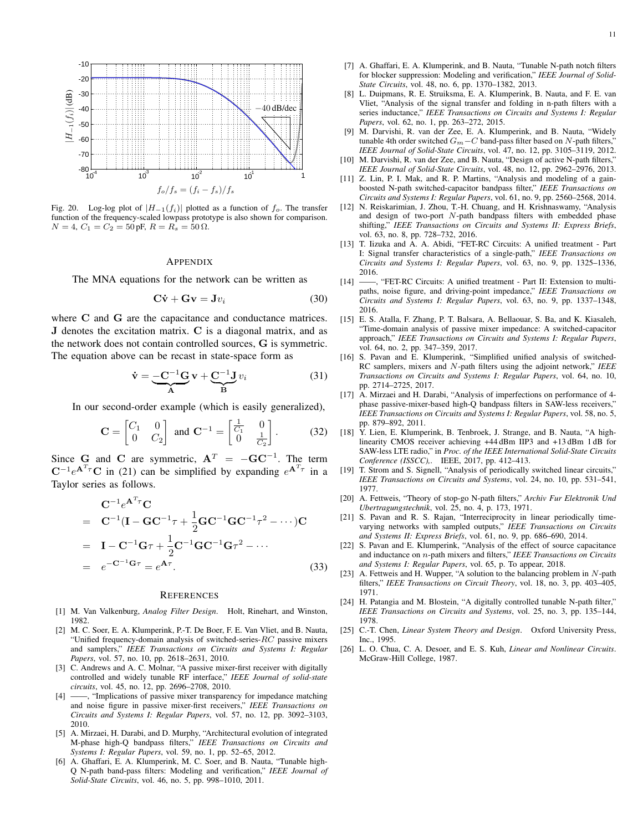

Fig. 20. Log-log plot of  $|H_{-1}(f_i)|$  plotted as a function of  $f_o$ . The transfer function of the frequency-scaled lowpass prototype is also shown for comparison.  $N = 4, C_1 = C_2 = 50 \,\text{pF}, R = R_s = 50 \,\Omega.$ 

#### **APPENDIX**

The MNA equations for the network can be written as

$$
\mathbf{C}\dot{\mathbf{v}} + \mathbf{G}\mathbf{v} = \mathbf{J}v_i \tag{30}
$$

where **C** and **G** are the capacitance and conductance matrices. **J** denotes the excitation matrix. **C** is a diagonal matrix, and as the network does not contain controlled sources, **G** is symmetric. The equation above can be recast in state-space form as

$$
\dot{\mathbf{v}} = \underbrace{-\mathbf{C}^{-1}\mathbf{G}}_{\mathbf{A}} \mathbf{v} + \underbrace{\mathbf{C}^{-1}\mathbf{J}}_{\mathbf{B}} v_i
$$
(31)

In our second-order example (which is easily generalized),

$$
\mathbf{C} = \begin{bmatrix} C_1 & 0 \\ 0 & C_2 \end{bmatrix} \text{ and } \mathbf{C}^{-1} = \begin{bmatrix} \frac{1}{C_1} & 0 \\ 0 & \frac{1}{C_2} \end{bmatrix}.
$$
 (32)

Since **G** and **C** are symmetric,  $A^T = -GC^{-1}$ . The term  $C^{-1}e^{A^T\tau}C$  in (21) can be simplified by expanding  $e^{A^T\tau}$  in a Taylor series as follows.

$$
\mathbf{C}^{-1}e^{\mathbf{A}^{T}\tau}\mathbf{C}
$$
\n
$$
= \mathbf{C}^{-1}(\mathbf{I} - \mathbf{G}\mathbf{C}^{-1}\tau + \frac{1}{2}\mathbf{G}\mathbf{C}^{-1}\mathbf{G}\mathbf{C}^{-1}\tau^{2} - \cdots)\mathbf{C}
$$
\n
$$
= \mathbf{I} - \mathbf{C}^{-1}\mathbf{G}\tau + \frac{1}{2}\mathbf{C}^{-1}\mathbf{G}\mathbf{C}^{-1}\mathbf{G}\tau^{2} - \cdots
$$
\n
$$
= e^{-\mathbf{C}^{-1}\mathbf{G}\tau} = e^{\mathbf{A}\tau}.
$$
\n(33)

#### **REFERENCES**

- [1] M. Van Valkenburg, *Analog Filter Design*. Holt, Rinehart, and Winston, 1982.
- [2] M. C. Soer, E. A. Klumperink, P.-T. De Boer, F. E. Van Vliet, and B. Nauta, "Unified frequency-domain analysis of switched-series-*RC* passive mixers and samplers," *IEEE Transactions on Circuits and Systems I: Regular Papers*, vol. 57, no. 10, pp. 2618–2631, 2010.
- [3] C. Andrews and A. C. Molnar, "A passive mixer-first receiver with digitally controlled and widely tunable RF interface," *IEEE Journal of solid-state circuits*, vol. 45, no. 12, pp. 2696–2708, 2010.
- [4] ——, "Implications of passive mixer transparency for impedance matching and noise figure in passive mixer-first receivers," *IEEE Transactions on Circuits and Systems I: Regular Papers*, vol. 57, no. 12, pp. 3092–3103, 2010.
- [5] A. Mirzaei, H. Darabi, and D. Murphy, "Architectural evolution of integrated M-phase high-Q bandpass filters," *IEEE Transactions on Circuits and Systems I: Regular Papers*, vol. 59, no. 1, pp. 52–65, 2012.
- A. Ghaffari, E. A. Klumperink, M. C. Soer, and B. Nauta, "Tunable high-Q N-path band-pass filters: Modeling and verification," *IEEE Journal of Solid-State Circuits*, vol. 46, no. 5, pp. 998–1010, 2011.
- [7] A. Ghaffari, E. A. Klumperink, and B. Nauta, "Tunable N-path notch filters for blocker suppression: Modeling and verification," *IEEE Journal of Solid-State Circuits*, vol. 48, no. 6, pp. 1370–1382, 2013.
- [8] L. Duipmans, R. E. Struiksma, E. A. Klumperink, B. Nauta, and F. E. van Vliet, "Analysis of the signal transfer and folding in n-path filters with a series inductance," *IEEE Transactions on Circuits and Systems I: Regular Papers*, vol. 62, no. 1, pp. 263–272, 2015.
- [9] M. Darvishi, R. van der Zee, E. A. Klumperink, and B. Nauta, "Widely tunable 4th order switched *Gm−C* band-pass filter based on *N*-path filters," *IEEE Journal of Solid-State Circuits*, vol. 47, no. 12, pp. 3105–3119, 2012.
- [10] M. Darvishi, R. van der Zee, and B. Nauta, "Design of active N-path filters," *IEEE Journal of Solid-State Circuits*, vol. 48, no. 12, pp. 2962–2976, 2013.
- [11] Z. Lin, P. I. Mak, and R. P. Martins, "Analysis and modeling of a gainboosted N-path switched-capacitor bandpass filter," *IEEE Transactions on Circuits and Systems I: Regular Papers*, vol. 61, no. 9, pp. 2560–2568, 2014.
- [12] N. Reiskarimian, J. Zhou, T.-H. Chuang, and H. Krishnaswamy, "Analysis and design of two-port *N*-path bandpass filters with embedded phase shifting," *IEEE Transactions on Circuits and Systems II: Express Briefs*, vol. 63, no. 8, pp. 728–732, 2016.
- [13] T. Iizuka and A. A. Abidi, "FET-RC Circuits: A unified treatment Part I: Signal transfer characteristics of a single-path," *IEEE Transactions on Circuits and Systems I: Regular Papers*, vol. 63, no. 9, pp. 1325–1336,
- $[14] \frac{2016}{\cdots}$ -, "FET-RC Circuits: A unified treatment - Part II: Extension to multipaths, noise figure, and driving-point impedance," *IEEE Transactions on Circuits and Systems I: Regular Papers*, vol. 63, no. 9, pp. 1337–1348, 2016.
- [15] E. S. Atalla, F. Zhang, P. T. Balsara, A. Bellaouar, S. Ba, and K. Kiasaleh, "Time-domain analysis of passive mixer impedance: A switched-capacitor approach," *IEEE Transactions on Circuits and Systems I: Regular Papers*, vol. 64, no. 2, pp. 347–359, 2017.
- [16] S. Pavan and E. Klumperink, "Simplified unified analysis of switched-RC samplers, mixers and *N*-path filters using the adjoint network," *IEEE Transactions on Circuits and Systems I: Regular Papers*, vol. 64, no. 10, pp. 2714–2725, 2017.
- [17] A. Mirzaei and H. Darabi, "Analysis of imperfections on performance of 4phase passive-mixer-based high-Q bandpass filters in SAW-less receivers," *IEEE Transactions on Circuits and Systems I: Regular Papers*, vol. 58, no. 5, pp. 879–892, 2011.
- [18] Y. Lien, E. Klumperink, B. Tenbroek, J. Strange, and B. Nauta, "A highlinearity CMOS receiver achieving +44 dBm IIP3 and +13 dBm 1 dB for SAW-less LTE radio," in *Proc. of the IEEE International Solid-State Circuits Conference (ISSCC),*. IEEE, 2017, pp. 412–413.
- [19] T. Strom and S. Signell, "Analysis of periodically switched linear circuits," *IEEE Transactions on Circuits and Systems*, vol. 24, no. 10, pp. 531–541, 1977.
- [20] A. Fettweis, "Theory of stop-go N-path filters," *Archiv Fur Elektronik Und Ubertragungstechnik*, vol. 25, no. 4, p. 173, 1971.
- [21] S. Pavan and R. S. Rajan, "Interreciprocity in linear periodically timevarying networks with sampled outputs," *IEEE Transactions on Circuits and Systems II: Express Briefs*, vol. 61, no. 9, pp. 686–690, 2014.
- [22] S. Pavan and E. Klumperink, "Analysis of the effect of source capacitance and inductance on *n*-path mixers and filters," *IEEE Transactions on Circuits and Systems I: Regular Papers*, vol. 65, p. To appear, 2018.
- [23] A. Fettweis and H. Wupper, "A solution to the balancing problem in *N*-path filters," *IEEE Transactions on Circuit Theory*, vol. 18, no. 3, pp. 403–405, 1971.
- [24] H. Patangia and M. Blostein, "A digitally controlled tunable N-path filter," *IEEE Transactions on Circuits and Systems*, vol. 25, no. 3, pp. 135–144, 1978.
- [25] C.-T. Chen, *Linear System Theory and Design*. Oxford University Press, Inc., 1995.
- [26] L. O. Chua, C. A. Desoer, and E. S. Kuh, *Linear and Nonlinear Circuits*. McGraw-Hill College, 1987.